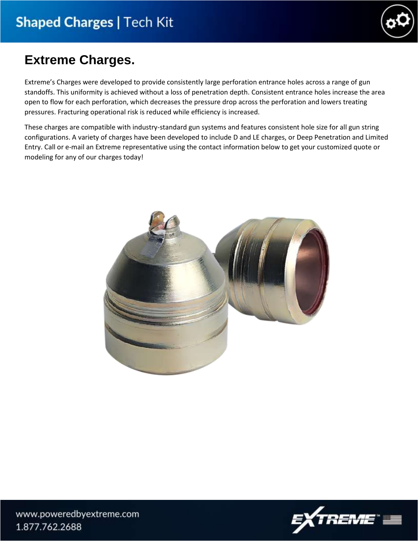

# **Extreme Charges.**

Extreme's Charges were developed to provide consistently large perforation entrance holes across a range of gun standoffs. This uniformity is achieved without a loss of penetration depth. Consistent entrance holes increase the area open to flow for each perforation, which decreases the pressure drop across the perforation and lowers treating pressures. Fracturing operational risk is reduced while efficiency is increased.

These charges are compatible with industry-standard gun systems and features consistent hole size for all gun string configurations. A variety of charges have been developed to include D and LE charges, or Deep Penetration and Limited Entry. Call or e-mail an Extreme representative using the contact information below to get your customized quote or modeling for any of our charges today!



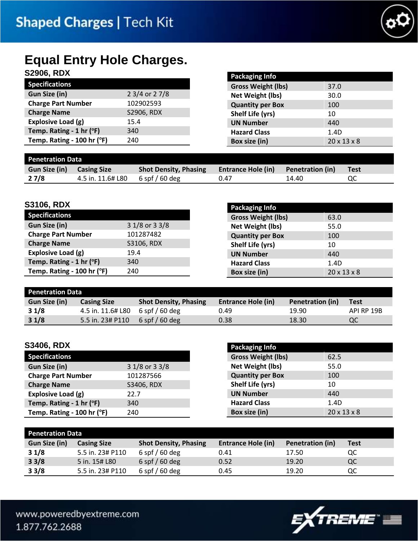

# **Equal Entry Hole Charges.**

# **S2906, RDX**

| <b>SZYUD, KDA</b>          |                | <b>Packaging Info</b>     |                         |
|----------------------------|----------------|---------------------------|-------------------------|
| <b>Specifications</b>      |                | <b>Gross Weight (lbs)</b> | 37.0                    |
| <b>Gun Size (in)</b>       | 2 3/4 or 2 7/8 | <b>Net Weight (lbs)</b>   | 30.0                    |
| <b>Charge Part Number</b>  | 102902593      | <b>Quantity per Box</b>   | 100                     |
| <b>Charge Name</b>         | S2906, RDX     | Shelf Life (yrs)          | 10                      |
| Explosive Load (g)         | 15.4           | <b>UN Number</b>          | 440                     |
| Temp. Rating - 1 hr (°F)   | 340            | <b>Hazard Class</b>       | 1.4D                    |
| Temp. Rating - 100 hr (°F) | 240            | Box size (in)             | $20 \times 13 \times 8$ |
|                            |                |                           |                         |
| <b>Penetration Data</b>    |                |                           |                         |

| <b>Gun Size (in)</b> | <b>Casing Size</b> | <b>Shot Density, Phasing</b> | <b>Entrance Hole (in)</b> Penetration (in) |       | Test |
|----------------------|--------------------|------------------------------|--------------------------------------------|-------|------|
| 27/8                 | 4.5 in. 11.6# L80  | $6$ spf $/60$ deg            | 0.47                                       | 14.40 | QC   |

**Packaging Info**

### **S3106, RDX**

|                            |                | <b>FALASIUS IIIU</b>      |                         |
|----------------------------|----------------|---------------------------|-------------------------|
| Specifications             |                | <b>Gross Weight (lbs)</b> | 63.0                    |
| <b>Gun Size (in)</b>       | 3 1/8 or 3 3/8 | Net Weight (lbs)          | 55.0                    |
| <b>Charge Part Number</b>  | 101287482      | <b>Quantity per Box</b>   | 100                     |
| <b>Charge Name</b>         | S3106, RDX     | Shelf Life (yrs)          | 10                      |
| Explosive Load (g)         | 19.4           | <b>UN Number</b>          | 440                     |
| Temp. Rating - 1 hr $(°F)$ | 340            | <b>Hazard Class</b>       | 1.4D                    |
| Temp. Rating - 100 hr (°F) | 240            | Box size (in)             | $20 \times 13 \times 8$ |

#### **Penetration Data Gun Size (in) Casing Size Shot Density, Phasing Entrance Hole (in) Penetration (in) Test 3 1/8** 4.5 in. 11.6# L80 6 spf / 60 deg 0.49 19.90 API RP 19B **3 1/8** 5.5 in. 23# P110 6 spf / 60 deg 0.38 18.30 0.55

### **S3406, RDX**

| <b>Specifications</b>      |                |
|----------------------------|----------------|
| Gun Size (in)              | 3 1/8 or 3 3/8 |
| <b>Charge Part Number</b>  | 101287566      |
| <b>Charge Name</b>         | S3406, RDX     |
| Explosive Load (g)         | 22.7           |
| Temp. Rating - 1 hr $(°F)$ | 340            |
| Temp. Rating - 100 hr (°F) | 240            |

| <b>Packaging Info</b>     |                         |
|---------------------------|-------------------------|
| <b>Gross Weight (lbs)</b> | 62.5                    |
| Net Weight (lbs)          | 55.0                    |
| <b>Quantity per Box</b>   | 100                     |
| Shelf Life (yrs)          | 10                      |
| <b>UN Number</b>          | 440                     |
| <b>Hazard Class</b>       | 1.4D                    |
| Box size (in)             | $20 \times 13 \times 8$ |

| <b>Penetration Data</b> |                    |                              |                           |                         |             |
|-------------------------|--------------------|------------------------------|---------------------------|-------------------------|-------------|
| Gun Size (in)           | <b>Casing Size</b> | <b>Shot Density, Phasing</b> | <b>Entrance Hole (in)</b> | <b>Penetration (in)</b> | <b>Test</b> |
| 31/8                    | 5.5 in. 23# P110   | $6$ spf $/60$ deg            | 0.41                      | 17.50                   | QC          |
| 33/8                    | 5 in. 15# L80      | $6$ spf $/60$ deg            | 0.52                      | 19.20                   | QC          |
| 33/8                    | 5.5 in. 23# P110   | $6$ spf $/60$ deg            | 0.45                      | 19.20                   | QC          |

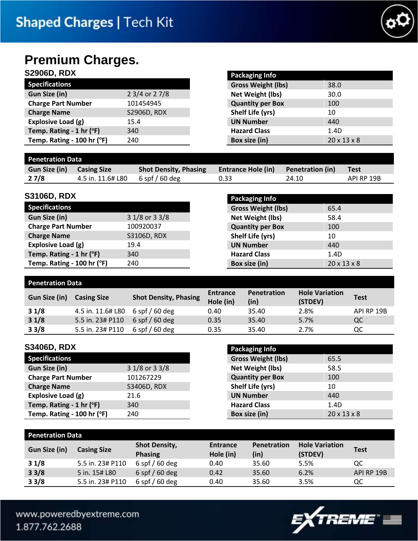

# **Premium Charges.**

## **S2906D, RDX**

|                            |                | <u>. www.gub </u>         |                         |
|----------------------------|----------------|---------------------------|-------------------------|
| <b>Specifications</b>      |                | <b>Gross Weight (lbs)</b> | 38.0                    |
| Gun Size (in)              | 2 3/4 or 2 7/8 | Net Weight (lbs)          | 30.0                    |
| <b>Charge Part Number</b>  | 101454945      | <b>Quantity per Box</b>   | 100                     |
| <b>Charge Name</b>         | S2906D, RDX    | Shelf Life (yrs)          | 10                      |
| Explosive Load (g)         | 15.4           | <b>UN Number</b>          | 440                     |
| Temp. Rating - 1 hr $(°F)$ | 340            | <b>Hazard Class</b>       | 1.4D                    |
| Temp. Rating - 100 hr (°F) | 240            | Box size (in)             | $20 \times 13 \times 8$ |
|                            |                |                           |                         |

**Packaging Info**

### **Penetration Data**

| ______________________ |                    |                              |                           |                         |             |
|------------------------|--------------------|------------------------------|---------------------------|-------------------------|-------------|
| Gun Size (in)          | <b>Casing Size</b> | <b>Shot Density, Phasing</b> | <b>Entrance Hole (in)</b> | <b>Penetration (in)</b> | <b>Test</b> |
| 27/8                   | 4.5 in. 11.6# L80  | $6$ spf / 60 deg             | 0.33                      | 24.10                   | API RP 19B  |

### **S3106D, RDX**

| <b>Specifications</b>      |                |
|----------------------------|----------------|
| <b>Gun Size (in)</b>       | 3 1/8 or 3 3/8 |
| <b>Charge Part Number</b>  | 100920037      |
| <b>Charge Name</b>         | S3106D, RDX    |
| Explosive Load (g)         | 19.4           |
| Temp. Rating - 1 hr (°F)   | 340            |
| Temp. Rating - 100 hr (°F) | 240            |

| <b>Packaging Info</b>     |                         |
|---------------------------|-------------------------|
| <b>Gross Weight (lbs)</b> | 65.4                    |
| <b>Net Weight (lbs)</b>   | 58.4                    |
| <b>Quantity per Box</b>   | 100                     |
| Shelf Life (yrs)          | 10                      |
| <b>UN Number</b>          | 440                     |
| <b>Hazard Class</b>       | 1.4D                    |
| Box size (in)             | $20 \times 13 \times 8$ |

#### **Penetration Data Gun Size (in) Casing Size Shot Density, Phasing Entrance Hole (in) Penetration (in) Hole Variation (STDEV) Test 3 1/8** 4.5 in. 11.6# L80 6 spf / 60 deg 0.40 35.40 2.8% API RP 19B **3 1/8** 5.5 in. 23# P110 6 spf / 60 deg 0.35 35.40 5.7% QC **3 3/8** 5.5 in. 23# P110 6 spf / 60 deg 0.35 35.40 2.7% QC

### **S3406D, RDX**

| <b>Specifications</b>      |                |
|----------------------------|----------------|
| Gun Size (in)              | 3 1/8 or 3 3/8 |
| <b>Charge Part Number</b>  | 101267229      |
| <b>Charge Name</b>         | S3406D, RDX    |
| Explosive Load (g)         | 21.6           |
| Temp. Rating - 1 hr (°F)   | 340            |
| Temp. Rating - 100 hr (°F) | 240            |

| <b>Packaging Info</b>     |                         |
|---------------------------|-------------------------|
| <b>Gross Weight (lbs)</b> | 65.5                    |
| <b>Net Weight (lbs)</b>   | 58.5                    |
| <b>Quantity per Box</b>   | 100                     |
| Shelf Life (yrs)          | 10                      |
| <b>UN Number</b>          | 440                     |
| <b>Hazard Class</b>       | 1.4D                    |
| Box size (in)             | $20 \times 13 \times 8$ |

| <b>Penetration Data</b> |                    |                                        |                       |                     |                                  |             |  |  |  |
|-------------------------|--------------------|----------------------------------------|-----------------------|---------------------|----------------------------------|-------------|--|--|--|
| <b>Gun Size (in)</b>    | <b>Casing Size</b> | <b>Shot Density,</b><br><b>Phasing</b> | Entrance<br>Hole (in) | Penetration<br>(in) | <b>Hole Variation</b><br>(STDEV) | <b>Test</b> |  |  |  |
| 31/8                    | 5.5 in. 23# P110   | $6$ spf $/60$ deg                      | 0.40                  | 35.60               | 5.5%                             | QC          |  |  |  |
| 33/8                    | 5 in. 15# L80      | $6$ spf $/60$ deg                      | 0.42                  | 35.60               | 6.2%                             | API RP 19B  |  |  |  |
| 33/8                    | 5.5 in. 23# P110   | $6$ spf $/60$ deg                      | 0.40                  | 35.60               | 3.5%                             | QC          |  |  |  |

www.poweredbyextreme.com 1.877.762.2688